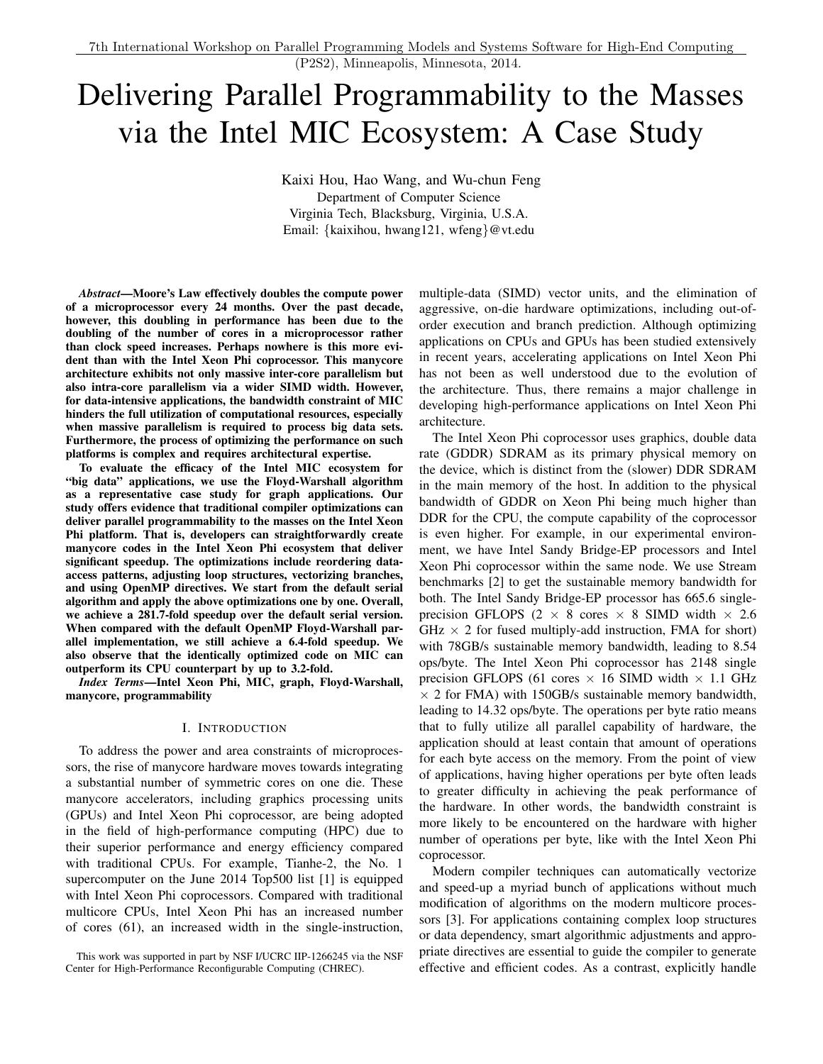# Delivering Parallel Programmability to the Masses via the Intel MIC Ecosystem: A Case Study

Kaixi Hou, Hao Wang, and Wu-chun Feng Department of Computer Science Virginia Tech, Blacksburg, Virginia, U.S.A. Email: {kaixihou, hwang121, wfeng}@vt.edu

*Abstract*—Moore's Law effectively doubles the compute power of a microprocessor every 24 months. Over the past decade, however, this doubling in performance has been due to the doubling of the number of cores in a microprocessor rather than clock speed increases. Perhaps nowhere is this more evident than with the Intel Xeon Phi coprocessor. This manycore architecture exhibits not only massive inter-core parallelism but also intra-core parallelism via a wider SIMD width. However, for data-intensive applications, the bandwidth constraint of MIC hinders the full utilization of computational resources, especially when massive parallelism is required to process big data sets. Furthermore, the process of optimizing the performance on such platforms is complex and requires architectural expertise.

To evaluate the efficacy of the Intel MIC ecosystem for "big data" applications, we use the Floyd-Warshall algorithm as a representative case study for graph applications. Our study offers evidence that traditional compiler optimizations can deliver parallel programmability to the masses on the Intel Xeon Phi platform. That is, developers can straightforwardly create manycore codes in the Intel Xeon Phi ecosystem that deliver significant speedup. The optimizations include reordering dataaccess patterns, adjusting loop structures, vectorizing branches, and using OpenMP directives. We start from the default serial algorithm and apply the above optimizations one by one. Overall, we achieve a 281.7-fold speedup over the default serial version. When compared with the default OpenMP Floyd-Warshall parallel implementation, we still achieve a 6.4-fold speedup. We also observe that the identically optimized code on MIC can outperform its CPU counterpart by up to 3.2-fold.

*Index Terms*—Intel Xeon Phi, MIC, graph, Floyd-Warshall, manycore, programmability

#### I. INTRODUCTION

<span id="page-0-0"></span>To address the power and area constraints of microprocessors, the rise of manycore hardware moves towards integrating a substantial number of symmetric cores on one die. These manycore accelerators, including graphics processing units (GPUs) and Intel Xeon Phi coprocessor, are being adopted in the field of high-performance computing (HPC) due to their superior performance and energy efficiency compared with traditional CPUs. For example, Tianhe-2, the No. 1 supercomputer on the June 2014 Top500 list [\[1\]](#page-8-0) is equipped with Intel Xeon Phi coprocessors. Compared with traditional multicore CPUs, Intel Xeon Phi has an increased number of cores (61), an increased width in the single-instruction, multiple-data (SIMD) vector units, and the elimination of aggressive, on-die hardware optimizations, including out-oforder execution and branch prediction. Although optimizing applications on CPUs and GPUs has been studied extensively in recent years, accelerating applications on Intel Xeon Phi has not been as well understood due to the evolution of the architecture. Thus, there remains a major challenge in developing high-performance applications on Intel Xeon Phi architecture.

The Intel Xeon Phi coprocessor uses graphics, double data rate (GDDR) SDRAM as its primary physical memory on the device, which is distinct from the (slower) DDR SDRAM in the main memory of the host. In addition to the physical bandwidth of GDDR on Xeon Phi being much higher than DDR for the CPU, the compute capability of the coprocessor is even higher. For example, in our experimental environment, we have Intel Sandy Bridge-EP processors and Intel Xeon Phi coprocessor within the same node. We use Stream benchmarks [\[2\]](#page-8-1) to get the sustainable memory bandwidth for both. The Intel Sandy Bridge-EP processor has 665.6 singleprecision GFLOPS (2  $\times$  8 cores  $\times$  8 SIMD width  $\times$  2.6  $GHz \times 2$  for fused multiply-add instruction, FMA for short) with 78GB/s sustainable memory bandwidth, leading to 8.54 ops/byte. The Intel Xeon Phi coprocessor has 2148 single precision GFLOPS (61 cores  $\times$  16 SIMD width  $\times$  1.1 GHz  $\times$  2 for FMA) with 150GB/s sustainable memory bandwidth, leading to 14.32 ops/byte. The operations per byte ratio means that to fully utilize all parallel capability of hardware, the application should at least contain that amount of operations for each byte access on the memory. From the point of view of applications, having higher operations per byte often leads to greater difficulty in achieving the peak performance of the hardware. In other words, the bandwidth constraint is more likely to be encountered on the hardware with higher number of operations per byte, like with the Intel Xeon Phi coprocessor.

Modern compiler techniques can automatically vectorize and speed-up a myriad bunch of applications without much modification of algorithms on the modern multicore processors [\[3\]](#page-8-2). For applications containing complex loop structures or data dependency, smart algorithmic adjustments and appropriate directives are essential to guide the compiler to generate effective and efficient codes. As a contrast, explicitly handle

This work was supported in part by NSF I/UCRC IIP-1266245 via the NSF Center for High-Performance Reconfigurable Computing (CHREC).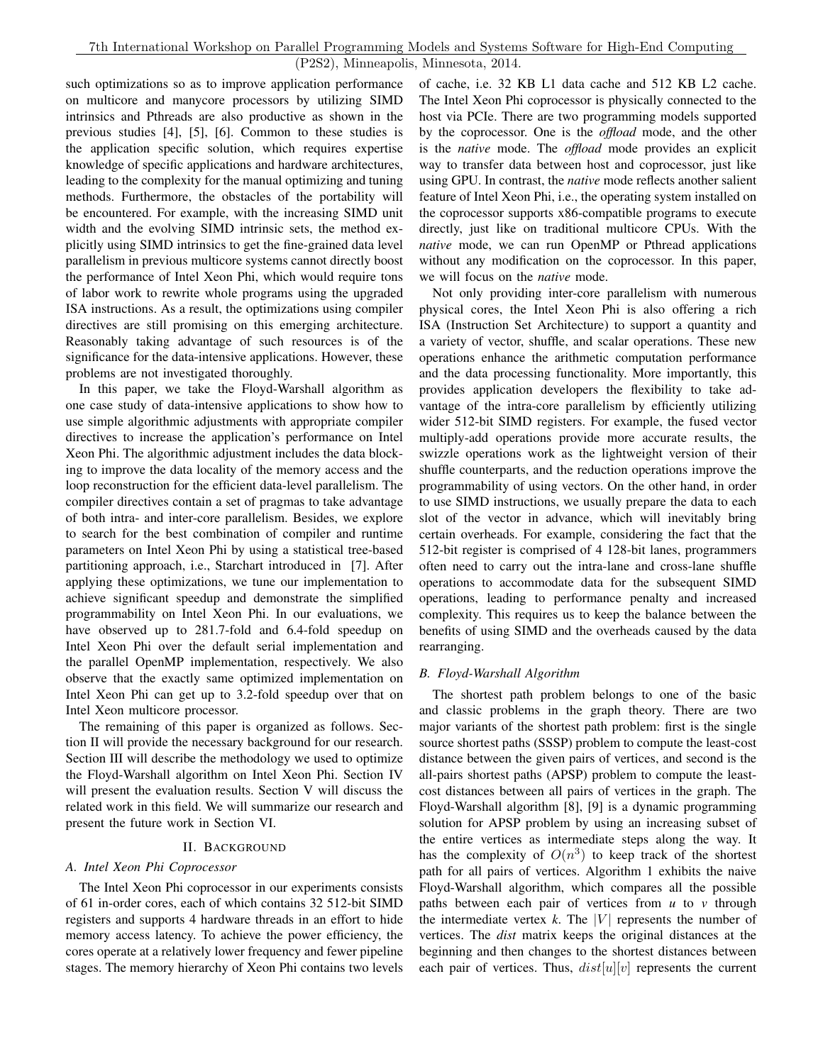such optimizations so as to improve application performance on multicore and manycore processors by utilizing SIMD intrinsics and Pthreads are also productive as shown in the previous studies [\[4\]](#page-8-3), [\[5\]](#page-8-4), [\[6\]](#page-8-5). Common to these studies is the application specific solution, which requires expertise knowledge of specific applications and hardware architectures, leading to the complexity for the manual optimizing and tuning methods. Furthermore, the obstacles of the portability will be encountered. For example, with the increasing SIMD unit width and the evolving SIMD intrinsic sets, the method explicitly using SIMD intrinsics to get the fine-grained data level parallelism in previous multicore systems cannot directly boost the performance of Intel Xeon Phi, which would require tons of labor work to rewrite whole programs using the upgraded ISA instructions. As a result, the optimizations using compiler directives are still promising on this emerging architecture. Reasonably taking advantage of such resources is of the significance for the data-intensive applications. However, these problems are not investigated thoroughly.

In this paper, we take the Floyd-Warshall algorithm as one case study of data-intensive applications to show how to use simple algorithmic adjustments with appropriate compiler directives to increase the application's performance on Intel Xeon Phi. The algorithmic adjustment includes the data blocking to improve the data locality of the memory access and the loop reconstruction for the efficient data-level parallelism. The compiler directives contain a set of pragmas to take advantage of both intra- and inter-core parallelism. Besides, we explore to search for the best combination of compiler and runtime parameters on Intel Xeon Phi by using a statistical tree-based partitioning approach, i.e., Starchart introduced in [\[7\]](#page-8-6). After applying these optimizations, we tune our implementation to achieve significant speedup and demonstrate the simplified programmability on Intel Xeon Phi. In our evaluations, we have observed up to 281.7-fold and 6.4-fold speedup on Intel Xeon Phi over the default serial implementation and the parallel OpenMP implementation, respectively. We also observe that the exactly same optimized implementation on Intel Xeon Phi can get up to 3.2-fold speedup over that on Intel Xeon multicore processor.

The remaining of this paper is organized as follows. Section [II](#page-1-0) will provide the necessary background for our research. Section [III](#page-2-0) will describe the methodology we used to optimize the Floyd-Warshall algorithm on Intel Xeon Phi. Section [IV](#page-5-0) will present the evaluation results. Section [V](#page-7-0) will discuss the related work in this field. We will summarize our research and present the future work in Section [VI.](#page-8-7)

# II. BACKGROUND

# <span id="page-1-0"></span>*A. Intel Xeon Phi Coprocessor*

The Intel Xeon Phi coprocessor in our experiments consists of 61 in-order cores, each of which contains 32 512-bit SIMD registers and supports 4 hardware threads in an effort to hide memory access latency. To achieve the power efficiency, the cores operate at a relatively lower frequency and fewer pipeline stages. The memory hierarchy of Xeon Phi contains two levels of cache, i.e. 32 KB L1 data cache and 512 KB L2 cache. The Intel Xeon Phi coprocessor is physically connected to the host via PCIe. There are two programming models supported by the coprocessor. One is the *offload* mode, and the other is the *native* mode. The *offload* mode provides an explicit way to transfer data between host and coprocessor, just like using GPU. In contrast, the *native* mode reflects another salient feature of Intel Xeon Phi, i.e., the operating system installed on the coprocessor supports x86-compatible programs to execute directly, just like on traditional multicore CPUs. With the *native* mode, we can run OpenMP or Pthread applications without any modification on the coprocessor. In this paper, we will focus on the *native* mode.

Not only providing inter-core parallelism with numerous physical cores, the Intel Xeon Phi is also offering a rich ISA (Instruction Set Architecture) to support a quantity and a variety of vector, shuffle, and scalar operations. These new operations enhance the arithmetic computation performance and the data processing functionality. More importantly, this provides application developers the flexibility to take advantage of the intra-core parallelism by efficiently utilizing wider 512-bit SIMD registers. For example, the fused vector multiply-add operations provide more accurate results, the swizzle operations work as the lightweight version of their shuffle counterparts, and the reduction operations improve the programmability of using vectors. On the other hand, in order to use SIMD instructions, we usually prepare the data to each slot of the vector in advance, which will inevitably bring certain overheads. For example, considering the fact that the 512-bit register is comprised of 4 128-bit lanes, programmers often need to carry out the intra-lane and cross-lane shuffle operations to accommodate data for the subsequent SIMD operations, leading to performance penalty and increased complexity. This requires us to keep the balance between the benefits of using SIMD and the overheads caused by the data rearranging.

## *B. Floyd-Warshall Algorithm*

The shortest path problem belongs to one of the basic and classic problems in the graph theory. There are two major variants of the shortest path problem: first is the single source shortest paths (SSSP) problem to compute the least-cost distance between the given pairs of vertices, and second is the all-pairs shortest paths (APSP) problem to compute the leastcost distances between all pairs of vertices in the graph. The Floyd-Warshall algorithm [\[8\]](#page-8-8), [\[9\]](#page-8-9) is a dynamic programming solution for APSP problem by using an increasing subset of the entire vertices as intermediate steps along the way. It has the complexity of  $O(n^3)$  to keep track of the shortest path for all pairs of vertices. Algorithm [1](#page-2-1) exhibits the naive Floyd-Warshall algorithm, which compares all the possible paths between each pair of vertices from *u* to *v* through the intermediate vertex  $k$ . The |V| represents the number of vertices. The *dist* matrix keeps the original distances at the beginning and then changes to the shortest distances between each pair of vertices. Thus,  $dist[u][v]$  represents the current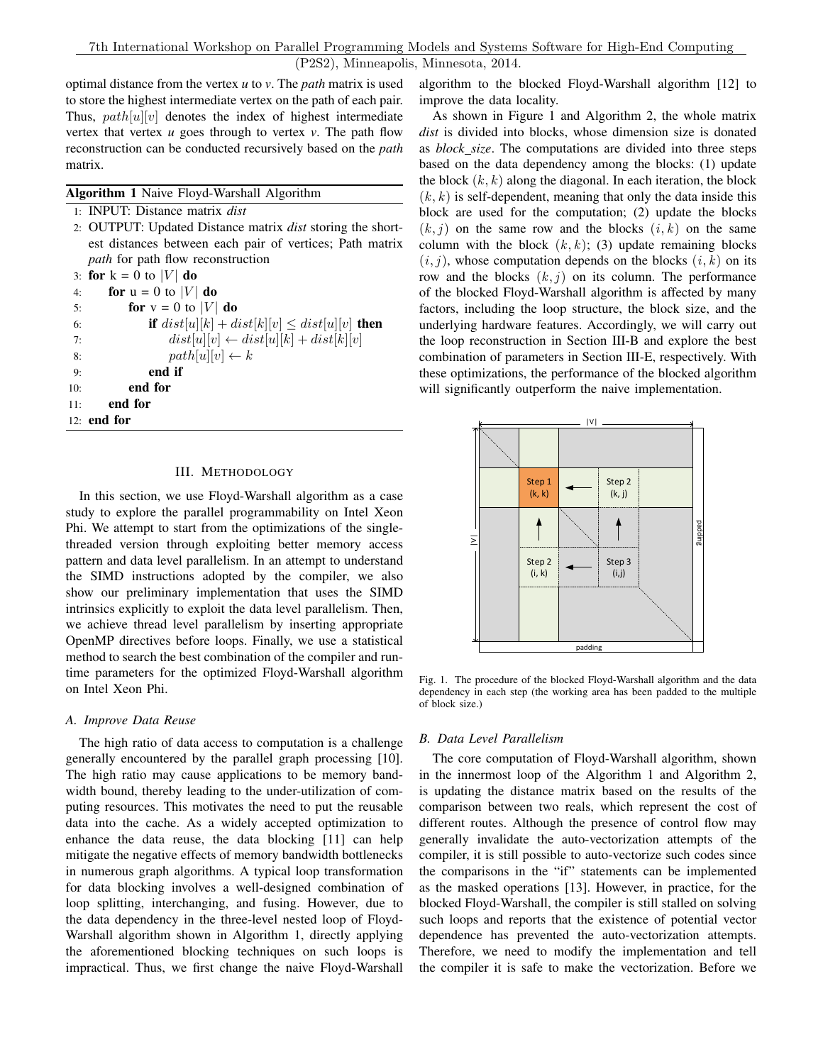optimal distance from the vertex *u* to *v*. The *path* matrix is used to store the highest intermediate vertex on the path of each pair. Thus,  $path[u][v]$  denotes the index of highest intermediate vertex that vertex *u* goes through to vertex *v*. The path flow reconstruction can be conducted recursively based on the *path* matrix.

<span id="page-2-1"></span>Algorithm 1 Naive Floyd-Warshall Algorithm

|     | 1: <b>INPUT</b> : Distance matrix <i>dist</i>                     |
|-----|-------------------------------------------------------------------|
|     | 2. OUTPUT: Updated Distance matrix <i>dist</i> storing the short- |
|     | est distances between each pair of vertices; Path matrix          |
|     | <i>path</i> for path flow reconstruction                          |
|     | 3: for $k = 0$ to  V  do                                          |
| 4:  | for $u = 0$ to  V  do                                             |
| 5:  | for $v = 0$ to  V  do                                             |
| 6:  | if $dist[u][k] + dist[k][v] \leq dist[u][v]$ then                 |
| 7:  | $dist[u][v] \leftarrow dist[u][k] + dist[k][v]$                   |
| 8:  | $path[u][v] \leftarrow k$                                         |
| 9:  | end if                                                            |
| 10: | end for                                                           |
| 11: | end for                                                           |
|     | $12:$ end for                                                     |
|     |                                                                   |

## III. METHODOLOGY

<span id="page-2-0"></span>In this section, we use Floyd-Warshall algorithm as a case study to explore the parallel programmability on Intel Xeon Phi. We attempt to start from the optimizations of the singlethreaded version through exploiting better memory access pattern and data level parallelism. In an attempt to understand the SIMD instructions adopted by the compiler, we also show our preliminary implementation that uses the SIMD intrinsics explicitly to exploit the data level parallelism. Then, we achieve thread level parallelism by inserting appropriate OpenMP directives before loops. Finally, we use a statistical method to search the best combination of the compiler and runtime parameters for the optimized Floyd-Warshall algorithm on Intel Xeon Phi.

#### *A. Improve Data Reuse*

The high ratio of data access to computation is a challenge generally encountered by the parallel graph processing [\[10\]](#page-8-10). The high ratio may cause applications to be memory bandwidth bound, thereby leading to the under-utilization of computing resources. This motivates the need to put the reusable data into the cache. As a widely accepted optimization to enhance the data reuse, the data blocking [\[11\]](#page-8-11) can help mitigate the negative effects of memory bandwidth bottlenecks in numerous graph algorithms. A typical loop transformation for data blocking involves a well-designed combination of loop splitting, interchanging, and fusing. However, due to the data dependency in the three-level nested loop of Floyd-Warshall algorithm shown in Algorithm [1,](#page-2-1) directly applying the aforementioned blocking techniques on such loops is impractical. Thus, we first change the naive Floyd-Warshall

algorithm to the blocked Floyd-Warshall algorithm [\[12\]](#page-8-12) to improve the data locality.

As shown in Figure [1](#page-2-2) and Algorithm [2,](#page-3-0) the whole matrix *dist* is divided into blocks, whose dimension size is donated as *block size*. The computations are divided into three steps based on the data dependency among the blocks: (1) update the block  $(k, k)$  along the diagonal. In each iteration, the block  $(k, k)$  is self-dependent, meaning that only the data inside this block are used for the computation; (2) update the blocks  $(k, j)$  on the same row and the blocks  $(i, k)$  on the same column with the block  $(k, k)$ ; (3) update remaining blocks  $(i, j)$ , whose computation depends on the blocks  $(i, k)$  on its row and the blocks  $(k, j)$  on its column. The performance of the blocked Floyd-Warshall algorithm is affected by many factors, including the loop structure, the block size, and the underlying hardware features. Accordingly, we will carry out the loop reconstruction in Section [III-B](#page-2-3) and explore the best combination of parameters in Section [III-E,](#page-4-0) respectively. With these optimizations, the performance of the blocked algorithm will significantly outperform the naive implementation.



<span id="page-2-2"></span>Fig. 1. The procedure of the blocked Floyd-Warshall algorithm and the data dependency in each step (the working area has been padded to the multiple of block size.)

#### <span id="page-2-3"></span>*B. Data Level Parallelism*

The core computation of Floyd-Warshall algorithm, shown in the innermost loop of the Algorithm [1](#page-2-1) and Algorithm [2,](#page-3-0) is updating the distance matrix based on the results of the comparison between two reals, which represent the cost of different routes. Although the presence of control flow may generally invalidate the auto-vectorization attempts of the compiler, it is still possible to auto-vectorize such codes since the comparisons in the "if" statements can be implemented as the masked operations [\[13\]](#page-8-13). However, in practice, for the blocked Floyd-Warshall, the compiler is still stalled on solving such loops and reports that the existence of potential vector dependence has prevented the auto-vectorization attempts. Therefore, we need to modify the implementation and tell the compiler it is safe to make the vectorization. Before we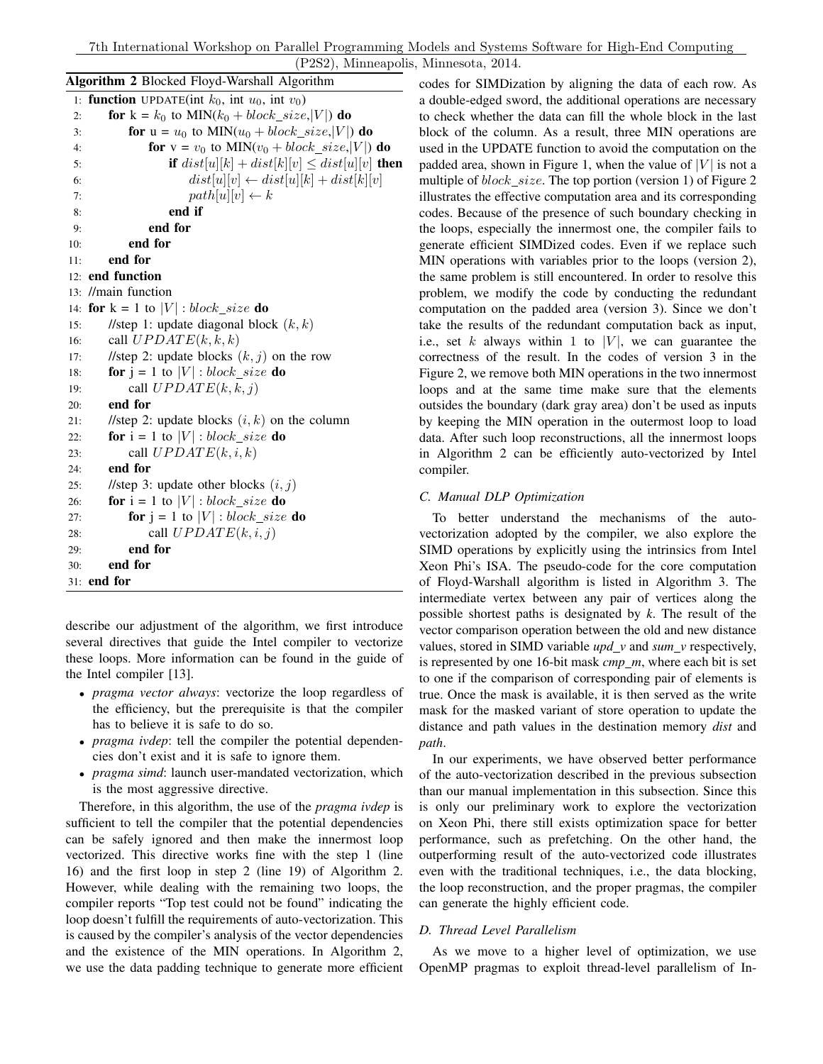<span id="page-3-0"></span>

| Algorithm 2 Blocked Floyd-Warshall Algorithm                            |  |  |  |  |
|-------------------------------------------------------------------------|--|--|--|--|
| 1: <b>function</b> UPDATE(int $k_0$ , int $u_0$ , int $v_0$ )           |  |  |  |  |
| for $k = k_0$ to MIN( $k_0 + block\_size,  V $ ) do<br>2:               |  |  |  |  |
| for $u = u_0$ to MIN( $u_0 + block\_size,  V $ ) do<br>3:               |  |  |  |  |
| <b>for</b> $v = v_0$ to MIN( $v_0 + block\_size,  V $ ) <b>do</b><br>4: |  |  |  |  |
| if $dist[u][k] + dist[k][v] \leq dist[u][v]$ then<br>5:                 |  |  |  |  |
| $dist[u][v] \leftarrow dist[u][k] + dist[k][v]$<br>6:                   |  |  |  |  |
| $path[u][v] \leftarrow k$<br>7:                                         |  |  |  |  |
| end if<br>8:                                                            |  |  |  |  |
| end for<br>9:                                                           |  |  |  |  |
| end for<br>10:                                                          |  |  |  |  |
| end for<br>11:                                                          |  |  |  |  |
| 12: end function                                                        |  |  |  |  |
| 13: //main function                                                     |  |  |  |  |
| <b>for</b> $k = 1$ to $ V $ : block_size <b>do</b><br>14:               |  |  |  |  |
| //step 1: update diagonal block $(k, k)$<br>15:                         |  |  |  |  |
| call $UPDATE(k, k, k)$<br>16:                                           |  |  |  |  |
| //step 2: update blocks $(k, j)$ on the row<br>17:                      |  |  |  |  |
| <b>for</b> $j = 1$ to $ V $ : block_size <b>do</b><br>18:               |  |  |  |  |
| call $UPDATE(k, k, j)$<br>19:                                           |  |  |  |  |
| end for<br>20:                                                          |  |  |  |  |
| //step 2: update blocks $(i, k)$ on the column<br>21:                   |  |  |  |  |
| <b>for</b> $i = 1$ to $ V $ : block_size <b>do</b><br>22:               |  |  |  |  |
| call $UPDATE(k, i, k)$<br>23:                                           |  |  |  |  |
| end for<br>24:                                                          |  |  |  |  |
| //step 3: update other blocks $(i, j)$<br>25:                           |  |  |  |  |
| <b>for</b> $i = 1$ to $ V $ : block_size <b>do</b><br>26:               |  |  |  |  |
| <b>for</b> $j = 1$ to $ V $ : block_size <b>do</b><br>27:               |  |  |  |  |
| call $UPDATE(k, i, j)$<br>28:                                           |  |  |  |  |
| end for<br>29:                                                          |  |  |  |  |
| end for<br>30:                                                          |  |  |  |  |
| 31: end for                                                             |  |  |  |  |

describe our adjustment of the algorithm, we first introduce several directives that guide the Intel compiler to vectorize these loops. More information can be found in the guide of the Intel compiler [\[13\]](#page-8-13).

- *pragma vector always*: vectorize the loop regardless of the efficiency, but the prerequisite is that the compiler has to believe it is safe to do so.
- *pragma ivdep*: tell the compiler the potential dependencies don't exist and it is safe to ignore them.
- *pragma simd*: launch user-mandated vectorization, which is the most aggressive directive.

Therefore, in this algorithm, the use of the *pragma ivdep* is sufficient to tell the compiler that the potential dependencies can be safely ignored and then make the innermost loop vectorized. This directive works fine with the step 1 (line 16) and the first loop in step 2 (line 19) of Algorithm [2.](#page-3-0) However, while dealing with the remaining two loops, the compiler reports "Top test could not be found" indicating the loop doesn't fulfill the requirements of auto-vectorization. This is caused by the compiler's analysis of the vector dependencies and the existence of the MIN operations. In Algorithm [2,](#page-3-0) we use the data padding technique to generate more efficient

codes for SIMDization by aligning the data of each row. As a double-edged sword, the additional operations are necessary to check whether the data can fill the whole block in the last block of the column. As a result, three MIN operations are used in the UPDATE function to avoid the computation on the padded area, shown in Figure [1,](#page-2-2) when the value of  $|V|$  is not a multiple of *block size*. The top portion (version 1) of Figure [2](#page-4-1) illustrates the effective computation area and its corresponding codes. Because of the presence of such boundary checking in the loops, especially the innermost one, the compiler fails to generate efficient SIMDized codes. Even if we replace such MIN operations with variables prior to the loops (version 2), the same problem is still encountered. In order to resolve this problem, we modify the code by conducting the redundant computation on the padded area (version 3). Since we don't take the results of the redundant computation back as input, i.e., set k always within 1 to |V|, we can guarantee the correctness of the result. In the codes of version 3 in the Figure [2,](#page-4-1) we remove both MIN operations in the two innermost loops and at the same time make sure that the elements outsides the boundary (dark gray area) don't be used as inputs by keeping the MIN operation in the outermost loop to load data. After such loop reconstructions, all the innermost loops in Algorithm [2](#page-3-0) can be efficiently auto-vectorized by Intel compiler.

## *C. Manual DLP Optimization*

To better understand the mechanisms of the autovectorization adopted by the compiler, we also explore the SIMD operations by explicitly using the intrinsics from Intel Xeon Phi's ISA. The pseudo-code for the core computation of Floyd-Warshall algorithm is listed in Algorithm [3.](#page-4-2) The intermediate vertex between any pair of vertices along the possible shortest paths is designated by *k*. The result of the vector comparison operation between the old and new distance values, stored in SIMD variable  $upd_v$  and  $sum_v$  respectively, is represented by one 16-bit mask *cmp m*, where each bit is set to one if the comparison of corresponding pair of elements is true. Once the mask is available, it is then served as the write mask for the masked variant of store operation to update the distance and path values in the destination memory *dist* and *path*.

In our experiments, we have observed better performance of the auto-vectorization described in the previous subsection than our manual implementation in this subsection. Since this is only our preliminary work to explore the vectorization on Xeon Phi, there still exists optimization space for better performance, such as prefetching. On the other hand, the outperforming result of the auto-vectorized code illustrates even with the traditional techniques, i.e., the data blocking, the loop reconstruction, and the proper pragmas, the compiler can generate the highly efficient code.

## *D. Thread Level Parallelism*

As we move to a higher level of optimization, we use OpenMP pragmas to exploit thread-level parallelism of In-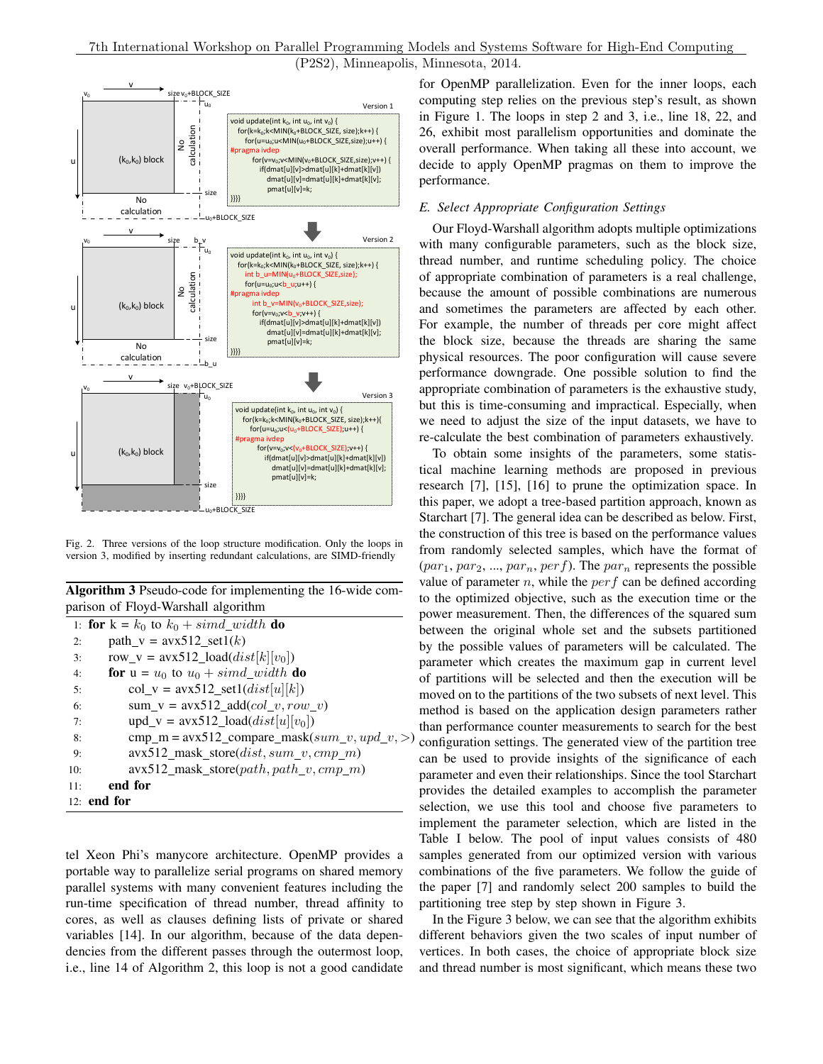

<span id="page-4-1"></span>Fig. 2. Three versions of the loop structure modification. Only the loops in version 3, modified by inserting redundant calculations, are SIMD-friendly

<span id="page-4-2"></span>Algorithm 3 Pseudo-code for implementing the 16-wide comparison of Floyd-Warshall algorithm

|     | 1: <b>for</b> $k = k_0$ to $k_0 + \text{simd\_width}$ <b>do</b> |
|-----|-----------------------------------------------------------------|
| 2:  | $path_v = avx512_set1(k)$                                       |
| 3:  | row_v = $\text{avx}512\_load(dist[k][v_0])$                     |
| 4:  | <b>for</b> $u = u_0$ to $u_0 + \text{simd\_width}$ <b>do</b>    |
| 5:  | $col_v = \text{avx}512\_set1(dist[u][k])$                       |
| 6:  | $sum_v = avx512\_add(col_v, row_v)$                             |
| 7:  | $upd_v = avx512\_load(dist[u][v_0])$                            |
| 8:  | $cmp_m = avx512\_compare\_mask(sum_v, upd_v,>)$                 |
| 9:  | $\text{avx}512\_mask\_store(dist, sum_v,cmp_m)$                 |
| 10: | $\frac{avx512 \text{ } mask\_store(path, path\_v,cmp\_m)}{}$    |
| 11: | end for                                                         |
|     | $12:$ end for                                                   |
|     |                                                                 |

tel Xeon Phi's manycore architecture. OpenMP provides a portable way to parallelize serial programs on shared memory parallel systems with many convenient features including the run-time specification of thread number, thread affinity to cores, as well as clauses defining lists of private or shared variables [\[14\]](#page-8-14). In our algorithm, because of the data dependencies from the different passes through the outermost loop, i.e., line 14 of Algorithm [2,](#page-3-0) this loop is not a good candidate for OpenMP parallelization. Even for the inner loops, each computing step relies on the previous step's result, as shown in Figure [1.](#page-2-2) The loops in step 2 and 3, i.e., line 18, 22, and 26, exhibit most parallelism opportunities and dominate the overall performance. When taking all these into account, we decide to apply OpenMP pragmas on them to improve the performance.

# <span id="page-4-0"></span>*E. Select Appropriate Configuration Settings*

Our Floyd-Warshall algorithm adopts multiple optimizations with many configurable parameters, such as the block size, thread number, and runtime scheduling policy. The choice of appropriate combination of parameters is a real challenge, because the amount of possible combinations are numerous and sometimes the parameters are affected by each other. For example, the number of threads per core might affect the block size, because the threads are sharing the same physical resources. The poor configuration will cause severe performance downgrade. One possible solution to find the appropriate combination of parameters is the exhaustive study, but this is time-consuming and impractical. Especially, when we need to adjust the size of the input datasets, we have to re-calculate the best combination of parameters exhaustively.

To obtain some insights of the parameters, some statistical machine learning methods are proposed in previous research [\[7\]](#page-8-6), [\[15\]](#page-8-15), [\[16\]](#page-8-16) to prune the optimization space. In this paper, we adopt a tree-based partition approach, known as Starchart [\[7\]](#page-8-6). The general idea can be described as below. First, the construction of this tree is based on the performance values from randomly selected samples, which have the format of (par1, par2, ..., parn, perf). The par<sup>n</sup> represents the possible value of parameter  $n$ , while the  $perf$  can be defined according to the optimized objective, such as the execution time or the power measurement. Then, the differences of the squared sum between the original whole set and the subsets partitioned by the possible values of parameters will be calculated. The parameter which creates the maximum gap in current level of partitions will be selected and then the execution will be moved on to the partitions of the two subsets of next level. This method is based on the application design parameters rather than performance counter measurements to search for the best configuration settings. The generated view of the partition tree can be used to provide insights of the significance of each parameter and even their relationships. Since the tool Starchart provides the detailed examples to accomplish the parameter selection, we use this tool and choose five parameters to implement the parameter selection, which are listed in the Table [I](#page-5-1) below. The pool of input values consists of 480 samples generated from our optimized version with various combinations of the five parameters. We follow the guide of the paper [\[7\]](#page-8-6) and randomly select 200 samples to build the partitioning tree step by step shown in Figure [3.](#page-5-2)

In the Figure [3](#page-5-2) below, we can see that the algorithm exhibits different behaviors given the two scales of input number of vertices. In both cases, the choice of appropriate block size and thread number is most significant, which means these two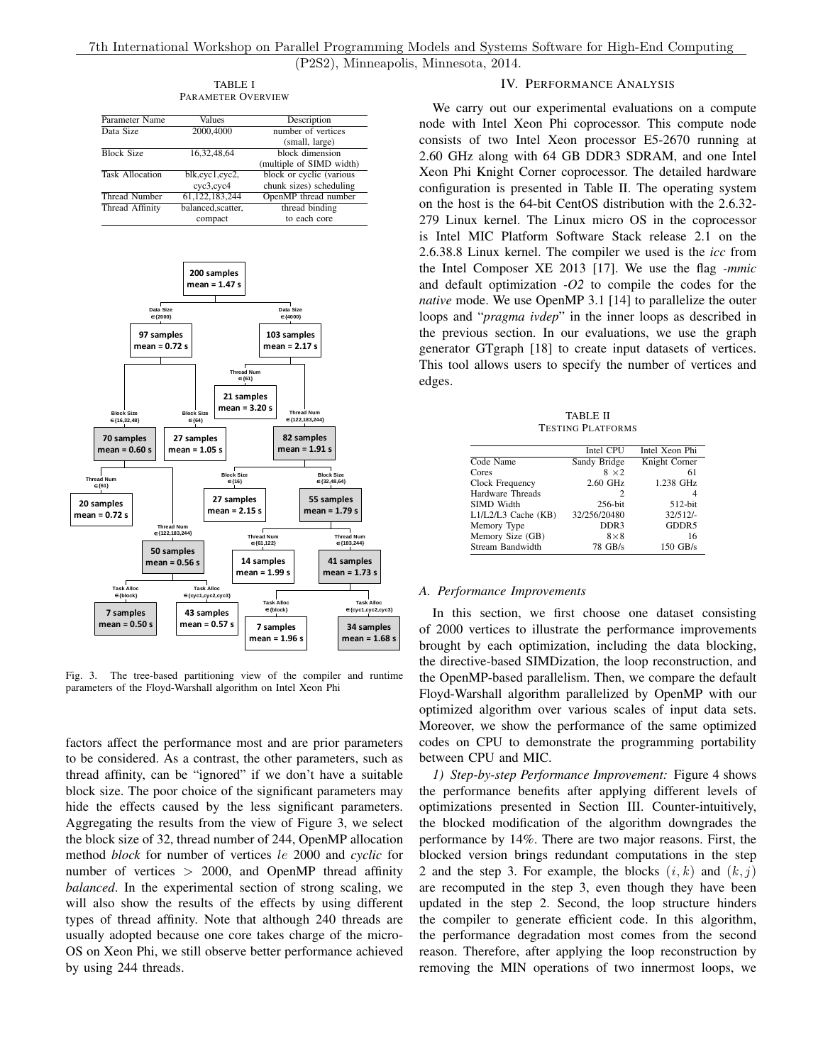(P2S2), Minneapolis, Minnesota, 2014.

TABLE I PARAMETER OVERVIEW

<span id="page-5-1"></span>

| Parameter Name         | Values                                    | Description              |  |
|------------------------|-------------------------------------------|--------------------------|--|
| Data Size              | 2000,4000                                 | number of vertices       |  |
|                        |                                           | (small, large)           |  |
| <b>Block Size</b>      | 16,32,48,64                               | block dimension          |  |
|                        |                                           | (multiple of SIMD width) |  |
| <b>Task Allocation</b> | $\overline{\text{blk,cyc}}1,\text{cyc2},$ | block or cyclic (various |  |
|                        | cyc3,cyc4                                 | chunk sizes) scheduling  |  |
| <b>Thread Number</b>   | 61, 122, 183, 244                         | OpenMP thread number     |  |
| Thread Affinity        | balanced, scatter,                        | thread binding           |  |
|                        | compact                                   | to each core             |  |



<span id="page-5-2"></span>Fig. 3. The tree-based partitioning view of the compiler and runtime parameters of the Floyd-Warshall algorithm on Intel Xeon Phi

factors affect the performance most and are prior parameters to be considered. As a contrast, the other parameters, such as thread affinity, can be "ignored" if we don't have a suitable block size. The poor choice of the significant parameters may hide the effects caused by the less significant parameters. Aggregating the results from the view of Figure [3,](#page-5-2) we select the block size of 32, thread number of 244, OpenMP allocation method *block* for number of vertices le 2000 and *cyclic* for number of vertices  $> 2000$ , and OpenMP thread affinity *balanced*. In the experimental section of strong scaling, we will also show the results of the effects by using different types of thread affinity. Note that although 240 threads are usually adopted because one core takes charge of the micro-OS on Xeon Phi, we still observe better performance achieved by using 244 threads.

### IV. PERFORMANCE ANALYSIS

<span id="page-5-0"></span>We carry out our experimental evaluations on a compute node with Intel Xeon Phi coprocessor. This compute node consists of two Intel Xeon processor E5-2670 running at 2.60 GHz along with 64 GB DDR3 SDRAM, and one Intel Xeon Phi Knight Corner coprocessor. The detailed hardware configuration is presented in Table [II.](#page-5-3) The operating system on the host is the 64-bit CentOS distribution with the 2.6.32- 279 Linux kernel. The Linux micro OS in the coprocessor is Intel MIC Platform Software Stack release 2.1 on the 2.6.38.8 Linux kernel. The compiler we used is the *icc* from the Intel Composer XE 2013 [\[17\]](#page-8-17). We use the flag *-mmic* and default optimization *-O2* to compile the codes for the *native* mode. We use OpenMP 3.1 [\[14\]](#page-8-14) to parallelize the outer loops and "*pragma ivdep*" in the inner loops as described in the previous section. In our evaluations, we use the graph generator GTgraph [\[18\]](#page-8-18) to create input datasets of vertices. This tool allows users to specify the number of vertices and edges.

TABLE II TESTING PLATFORMS

<span id="page-5-3"></span>

|                     | Intel CPU    | Intel Xeon Phi |
|---------------------|--------------|----------------|
| Code Name           | Sandy Bridge | Knight Corner  |
| Cores               | $8 \times 2$ | 61             |
| Clock Frequency     | 2.60 GHz     | 1.238 GHz      |
| Hardware Threads    | 2            | 4              |
| SIMD Width          | $256$ -bit   | $512$ -bit     |
| L1/L2/L3 Cache (KB) | 32/256/20480 | 32/512/        |
| Memory Type         | DDR3         | GDDR5          |
| Memory Size (GB)    | $8 \times 8$ | 16             |
| Stream Bandwidth    | 78 GB/s      | 150 GB/s       |
|                     |              |                |

#### *A. Performance Improvements*

In this section, we first choose one dataset consisting of 2000 vertices to illustrate the performance improvements brought by each optimization, including the data blocking, the directive-based SIMDization, the loop reconstruction, and the OpenMP-based parallelism. Then, we compare the default Floyd-Warshall algorithm parallelized by OpenMP with our optimized algorithm over various scales of input data sets. Moreover, we show the performance of the same optimized codes on CPU to demonstrate the programming portability between CPU and MIC.

<span id="page-5-4"></span>*1) Step-by-step Performance Improvement:* Figure [4](#page-6-0) shows the performance benefits after applying different levels of optimizations presented in Section [III.](#page-2-0) Counter-intuitively, the blocked modification of the algorithm downgrades the performance by 14%. There are two major reasons. First, the blocked version brings redundant computations in the step 2 and the step 3. For example, the blocks  $(i, k)$  and  $(k, j)$ are recomputed in the step 3, even though they have been updated in the step 2. Second, the loop structure hinders the compiler to generate efficient code. In this algorithm, the performance degradation most comes from the second reason. Therefore, after applying the loop reconstruction by removing the MIN operations of two innermost loops, we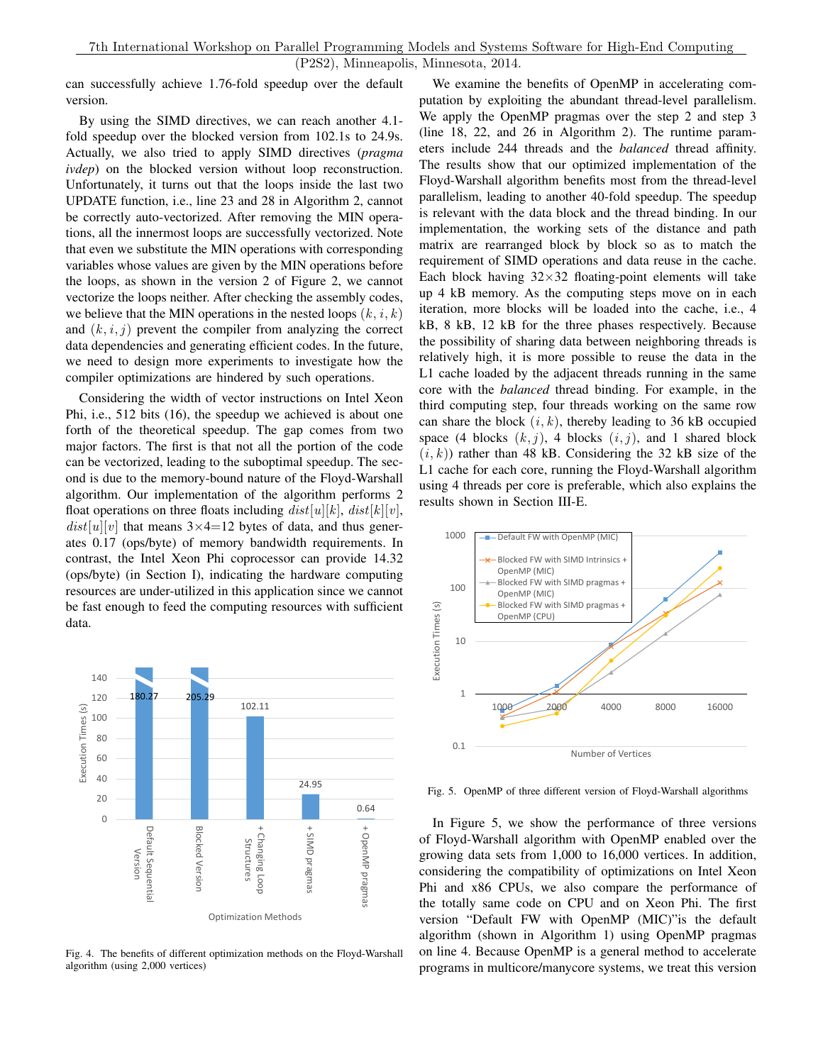can successfully achieve 1.76-fold speedup over the default version.

By using the SIMD directives, we can reach another 4.1 fold speedup over the blocked version from 102.1s to 24.9s. Actually, we also tried to apply SIMD directives (*pragma ivdep*) on the blocked version without loop reconstruction. Unfortunately, it turns out that the loops inside the last two UPDATE function, i.e., line 23 and 28 in Algorithm [2,](#page-3-0) cannot be correctly auto-vectorized. After removing the MIN operations, all the innermost loops are successfully vectorized. Note that even we substitute the MIN operations with corresponding variables whose values are given by the MIN operations before the loops, as shown in the version 2 of Figure [2,](#page-4-1) we cannot vectorize the loops neither. After checking the assembly codes, we believe that the MIN operations in the nested loops  $(k, i, k)$ and  $(k, i, j)$  prevent the compiler from analyzing the correct data dependencies and generating efficient codes. In the future, we need to design more experiments to investigate how the compiler optimizations are hindered by such operations.

Considering the width of vector instructions on Intel Xeon Phi, i.e., 512 bits (16), the speedup we achieved is about one forth of the theoretical speedup. The gap comes from two major factors. The first is that not all the portion of the code can be vectorized, leading to the suboptimal speedup. The second is due to the memory-bound nature of the Floyd-Warshall algorithm. Our implementation of the algorithm performs 2 float operations on three floats including  $dist[u][k]$ ,  $dist[k][v]$ ,  $dist[u][v]$  that means  $3\times4=12$  bytes of data, and thus generates 0.17 (ops/byte) of memory bandwidth requirements. In contrast, the Intel Xeon Phi coprocessor can provide 14.32 (ops/byte) (in Section [I\)](#page-0-0), indicating the hardware computing resources are under-utilized in this application since we cannot be fast enough to feed the computing resources with sufficient data.



<span id="page-6-0"></span>Fig. 4. The benefits of different optimization methods on the Floyd-Warshall algorithm (using 2,000 vertices)

We examine the benefits of OpenMP in accelerating computation by exploiting the abundant thread-level parallelism. We apply the OpenMP pragmas over the step 2 and step 3 (line 18, 22, and 26 in Algorithm [2\)](#page-3-0). The runtime parameters include 244 threads and the *balanced* thread affinity. The results show that our optimized implementation of the Floyd-Warshall algorithm benefits most from the thread-level parallelism, leading to another 40-fold speedup. The speedup is relevant with the data block and the thread binding. In our implementation, the working sets of the distance and path matrix are rearranged block by block so as to match the requirement of SIMD operations and data reuse in the cache. Each block having  $32\times32$  floating-point elements will take up 4 kB memory. As the computing steps move on in each iteration, more blocks will be loaded into the cache, i.e., 4 kB, 8 kB, 12 kB for the three phases respectively. Because the possibility of sharing data between neighboring threads is relatively high, it is more possible to reuse the data in the L1 cache loaded by the adjacent threads running in the same core with the *balanced* thread binding. For example, in the third computing step, four threads working on the same row can share the block  $(i, k)$ , thereby leading to 36 kB occupied space (4 blocks  $(k, j)$ , 4 blocks  $(i, j)$ , and 1 shared block  $(i, k)$ ) rather than 48 kB. Considering the 32 kB size of the L1 cache for each core, running the Floyd-Warshall algorithm using 4 threads per core is preferable, which also explains the results shown in Section [III-E.](#page-4-0)



<span id="page-6-1"></span>Fig. 5. OpenMP of three different version of Floyd-Warshall algorithms

In Figure [5,](#page-6-1) we show the performance of three versions of Floyd-Warshall algorithm with OpenMP enabled over the growing data sets from 1,000 to 16,000 vertices. In addition, considering the compatibility of optimizations on Intel Xeon Phi and x86 CPUs, we also compare the performance of the totally same code on CPU and on Xeon Phi. The first version "Default FW with OpenMP (MIC)"is the default algorithm (shown in Algorithm [1\)](#page-2-1) using OpenMP pragmas on line 4. Because OpenMP is a general method to accelerate programs in multicore/manycore systems, we treat this version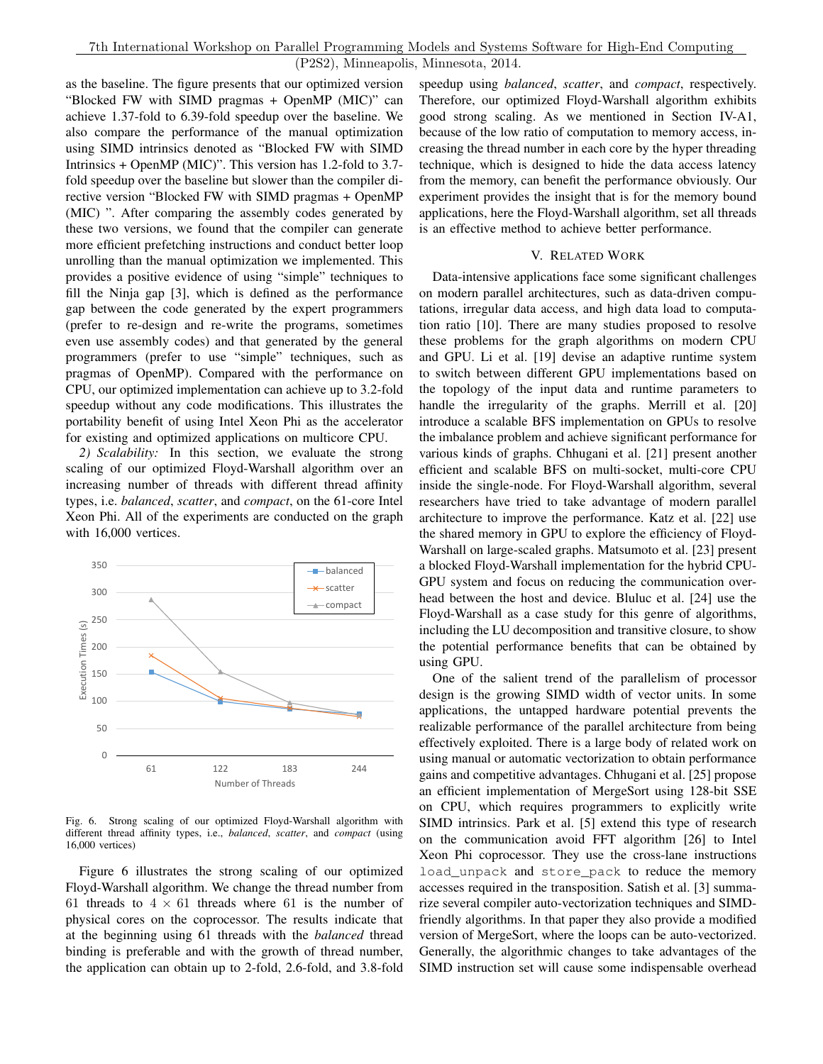as the baseline. The figure presents that our optimized version "Blocked FW with SIMD pragmas + OpenMP (MIC)" can achieve 1.37-fold to 6.39-fold speedup over the baseline. We also compare the performance of the manual optimization using SIMD intrinsics denoted as "Blocked FW with SIMD Intrinsics + OpenMP (MIC)". This version has 1.2-fold to 3.7 fold speedup over the baseline but slower than the compiler directive version "Blocked FW with SIMD pragmas + OpenMP (MIC) ". After comparing the assembly codes generated by these two versions, we found that the compiler can generate more efficient prefetching instructions and conduct better loop unrolling than the manual optimization we implemented. This provides a positive evidence of using "simple" techniques to fill the Ninja gap [\[3\]](#page-8-2), which is defined as the performance gap between the code generated by the expert programmers (prefer to re-design and re-write the programs, sometimes even use assembly codes) and that generated by the general programmers (prefer to use "simple" techniques, such as pragmas of OpenMP). Compared with the performance on CPU, our optimized implementation can achieve up to 3.2-fold speedup without any code modifications. This illustrates the portability benefit of using Intel Xeon Phi as the accelerator for existing and optimized applications on multicore CPU.

*2) Scalability:* In this section, we evaluate the strong scaling of our optimized Floyd-Warshall algorithm over an increasing number of threads with different thread affinity types, i.e. *balanced*, *scatter*, and *compact*, on the 61-core Intel Xeon Phi. All of the experiments are conducted on the graph with 16,000 vertices.



<span id="page-7-1"></span>Fig. 6. Strong scaling of our optimized Floyd-Warshall algorithm with different thread affinity types, i.e., *balanced*, *scatter*, and *compact* (using 16,000 vertices)

Figure [6](#page-7-1) illustrates the strong scaling of our optimized Floyd-Warshall algorithm. We change the thread number from 61 threads to  $4 \times 61$  threads where 61 is the number of physical cores on the coprocessor. The results indicate that at the beginning using 61 threads with the *balanced* thread binding is preferable and with the growth of thread number, the application can obtain up to 2-fold, 2.6-fold, and 3.8-fold speedup using *balanced*, *scatter*, and *compact*, respectively. Therefore, our optimized Floyd-Warshall algorithm exhibits good strong scaling. As we mentioned in Section [IV-A1,](#page-5-4) because of the low ratio of computation to memory access, increasing the thread number in each core by the hyper threading technique, which is designed to hide the data access latency from the memory, can benefit the performance obviously. Our experiment provides the insight that is for the memory bound applications, here the Floyd-Warshall algorithm, set all threads is an effective method to achieve better performance.

## V. RELATED WORK

<span id="page-7-0"></span>Data-intensive applications face some significant challenges on modern parallel architectures, such as data-driven computations, irregular data access, and high data load to computation ratio [\[10\]](#page-8-10). There are many studies proposed to resolve these problems for the graph algorithms on modern CPU and GPU. Li et al. [\[19\]](#page-9-0) devise an adaptive runtime system to switch between different GPU implementations based on the topology of the input data and runtime parameters to handle the irregularity of the graphs. Merrill et al. [\[20\]](#page-9-1) introduce a scalable BFS implementation on GPUs to resolve the imbalance problem and achieve significant performance for various kinds of graphs. Chhugani et al. [\[21\]](#page-9-2) present another efficient and scalable BFS on multi-socket, multi-core CPU inside the single-node. For Floyd-Warshall algorithm, several researchers have tried to take advantage of modern parallel architecture to improve the performance. Katz et al. [\[22\]](#page-9-3) use the shared memory in GPU to explore the efficiency of Floyd-Warshall on large-scaled graphs. Matsumoto et al. [\[23\]](#page-9-4) present a blocked Floyd-Warshall implementation for the hybrid CPU-GPU system and focus on reducing the communication overhead between the host and device. Bluluc et al. [\[24\]](#page-9-5) use the Floyd-Warshall as a case study for this genre of algorithms, including the LU decomposition and transitive closure, to show the potential performance benefits that can be obtained by using GPU.

One of the salient trend of the parallelism of processor design is the growing SIMD width of vector units. In some applications, the untapped hardware potential prevents the realizable performance of the parallel architecture from being effectively exploited. There is a large body of related work on using manual or automatic vectorization to obtain performance gains and competitive advantages. Chhugani et al. [\[25\]](#page-9-6) propose an efficient implementation of MergeSort using 128-bit SSE on CPU, which requires programmers to explicitly write SIMD intrinsics. Park et al. [\[5\]](#page-8-4) extend this type of research on the communication avoid FFT algorithm [\[26\]](#page-9-7) to Intel Xeon Phi coprocessor. They use the cross-lane instructions load\_unpack and store\_pack to reduce the memory accesses required in the transposition. Satish et al. [\[3\]](#page-8-2) summarize several compiler auto-vectorization techniques and SIMDfriendly algorithms. In that paper they also provide a modified version of MergeSort, where the loops can be auto-vectorized. Generally, the algorithmic changes to take advantages of the SIMD instruction set will cause some indispensable overhead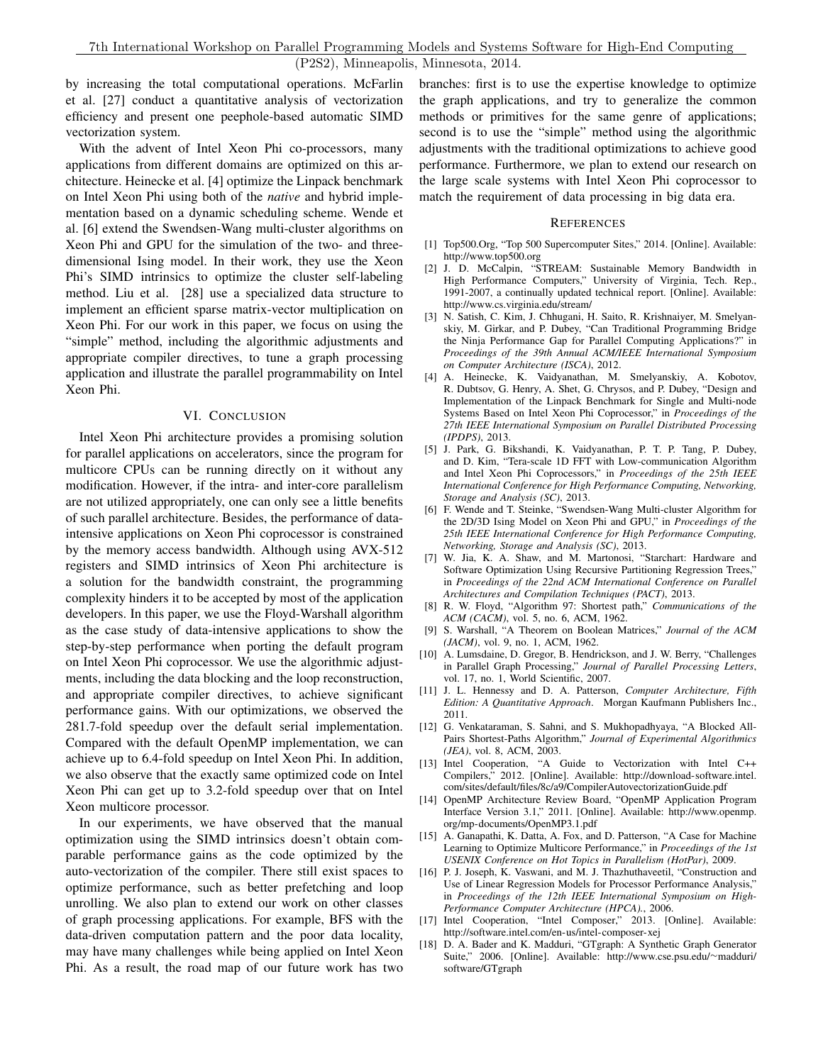by increasing the total computational operations. McFarlin et al. [\[27\]](#page-9-8) conduct a quantitative analysis of vectorization efficiency and present one peephole-based automatic SIMD vectorization system.

With the advent of Intel Xeon Phi co-processors, many applications from different domains are optimized on this architecture. Heinecke et al. [\[4\]](#page-8-3) optimize the Linpack benchmark on Intel Xeon Phi using both of the *native* and hybrid implementation based on a dynamic scheduling scheme. Wende et al. [\[6\]](#page-8-5) extend the Swendsen-Wang multi-cluster algorithms on Xeon Phi and GPU for the simulation of the two- and threedimensional Ising model. In their work, they use the Xeon Phi's SIMD intrinsics to optimize the cluster self-labeling method. Liu et al. [\[28\]](#page-9-9) use a specialized data structure to implement an efficient sparse matrix-vector multiplication on Xeon Phi. For our work in this paper, we focus on using the "simple" method, including the algorithmic adjustments and appropriate compiler directives, to tune a graph processing application and illustrate the parallel programmability on Intel Xeon Phi.

## VI. CONCLUSION

<span id="page-8-7"></span>Intel Xeon Phi architecture provides a promising solution for parallel applications on accelerators, since the program for multicore CPUs can be running directly on it without any modification. However, if the intra- and inter-core parallelism are not utilized appropriately, one can only see a little benefits of such parallel architecture. Besides, the performance of dataintensive applications on Xeon Phi coprocessor is constrained by the memory access bandwidth. Although using AVX-512 registers and SIMD intrinsics of Xeon Phi architecture is a solution for the bandwidth constraint, the programming complexity hinders it to be accepted by most of the application developers. In this paper, we use the Floyd-Warshall algorithm as the case study of data-intensive applications to show the step-by-step performance when porting the default program on Intel Xeon Phi coprocessor. We use the algorithmic adjustments, including the data blocking and the loop reconstruction, and appropriate compiler directives, to achieve significant performance gains. With our optimizations, we observed the 281.7-fold speedup over the default serial implementation. Compared with the default OpenMP implementation, we can achieve up to 6.4-fold speedup on Intel Xeon Phi. In addition, we also observe that the exactly same optimized code on Intel Xeon Phi can get up to 3.2-fold speedup over that on Intel Xeon multicore processor.

In our experiments, we have observed that the manual optimization using the SIMD intrinsics doesn't obtain comparable performance gains as the code optimized by the auto-vectorization of the compiler. There still exist spaces to optimize performance, such as better prefetching and loop unrolling. We also plan to extend our work on other classes of graph processing applications. For example, BFS with the data-driven computation pattern and the poor data locality, may have many challenges while being applied on Intel Xeon Phi. As a result, the road map of our future work has two branches: first is to use the expertise knowledge to optimize the graph applications, and try to generalize the common methods or primitives for the same genre of applications; second is to use the "simple" method using the algorithmic adjustments with the traditional optimizations to achieve good performance. Furthermore, we plan to extend our research on the large scale systems with Intel Xeon Phi coprocessor to match the requirement of data processing in big data era.

#### **REFERENCES**

- <span id="page-8-0"></span>[1] Top500.Org, "Top 500 Supercomputer Sites," 2014. [Online]. Available: <http://www.top500.org>
- <span id="page-8-1"></span>[2] J. D. McCalpin, "STREAM: Sustainable Memory Bandwidth in High Performance Computers," University of Virginia, Tech. Rep., 1991-2007, a continually updated technical report. [Online]. Available: <http://www.cs.virginia.edu/stream/>
- <span id="page-8-2"></span>[3] N. Satish, C. Kim, J. Chhugani, H. Saito, R. Krishnaiyer, M. Smelyanskiy, M. Girkar, and P. Dubey, "Can Traditional Programming Bridge the Ninja Performance Gap for Parallel Computing Applications?" in *Proceedings of the 39th Annual ACM/IEEE International Symposium on Computer Architecture (ISCA)*, 2012.
- <span id="page-8-3"></span>[4] A. Heinecke, K. Vaidyanathan, M. Smelyanskiy, A. Kobotov, R. Dubtsov, G. Henry, A. Shet, G. Chrysos, and P. Dubey, "Design and Implementation of the Linpack Benchmark for Single and Multi-node Systems Based on Intel Xeon Phi Coprocessor," in *Proceedings of the 27th IEEE International Symposium on Parallel Distributed Processing (IPDPS)*, 2013.
- <span id="page-8-4"></span>[5] J. Park, G. Bikshandi, K. Vaidyanathan, P. T. P. Tang, P. Dubey, and D. Kim, "Tera-scale 1D FFT with Low-communication Algorithm and Intel Xeon Phi Coprocessors," in *Proceedings of the 25th IEEE International Conference for High Performance Computing, Networking, Storage and Analysis (SC)*, 2013.
- <span id="page-8-5"></span>[6] F. Wende and T. Steinke, "Swendsen-Wang Multi-cluster Algorithm for the 2D/3D Ising Model on Xeon Phi and GPU," in *Proceedings of the 25th IEEE International Conference for High Performance Computing, Networking, Storage and Analysis (SC)*, 2013.
- <span id="page-8-6"></span>[7] W. Jia, K. A. Shaw, and M. Martonosi, "Starchart: Hardware and Software Optimization Using Recursive Partitioning Regression Trees," in *Proceedings of the 22nd ACM International Conference on Parallel Architectures and Compilation Techniques (PACT)*, 2013.
- <span id="page-8-8"></span>[8] R. W. Floyd, "Algorithm 97: Shortest path," *Communications of the ACM (CACM)*, vol. 5, no. 6, ACM, 1962.
- <span id="page-8-9"></span>[9] S. Warshall, "A Theorem on Boolean Matrices," *Journal of the ACM (JACM)*, vol. 9, no. 1, ACM, 1962.
- <span id="page-8-10"></span>[10] A. Lumsdaine, D. Gregor, B. Hendrickson, and J. W. Berry, "Challenges in Parallel Graph Processing," *Journal of Parallel Processing Letters*, vol. 17, no. 1, World Scientific, 2007.
- <span id="page-8-11"></span>[11] J. L. Hennessy and D. A. Patterson, *Computer Architecture, Fifth Edition: A Quantitative Approach*. Morgan Kaufmann Publishers Inc., 2011.
- <span id="page-8-12"></span>[12] G. Venkataraman, S. Sahni, and S. Mukhopadhyaya, "A Blocked All-Pairs Shortest-Paths Algorithm," *Journal of Experimental Algorithmics (JEA)*, vol. 8, ACM, 2003.
- <span id="page-8-13"></span>[13] Intel Cooperation, "A Guide to Vectorization with Intel C++ Compilers," 2012. [Online]. Available: [http://download-software.intel.](http://download-software.intel.com/sites/default/files/8c/a9/CompilerAutovectorizationGuide.pdf) [com/sites/default/files/8c/a9/CompilerAutovectorizationGuide.pdf](http://download-software.intel.com/sites/default/files/8c/a9/CompilerAutovectorizationGuide.pdf)
- <span id="page-8-14"></span>[14] OpenMP Architecture Review Board, "OpenMP Application Program Interface Version 3.1," 2011. [Online]. Available: [http://www.openmp.](http://www.openmp.org/mp-documents/OpenMP3.1.pdf) [org/mp-documents/OpenMP3.1.pdf](http://www.openmp.org/mp-documents/OpenMP3.1.pdf)
- <span id="page-8-15"></span>[15] A. Ganapathi, K. Datta, A. Fox, and D. Patterson, "A Case for Machine Learning to Optimize Multicore Performance," in *Proceedings of the 1st USENIX Conference on Hot Topics in Parallelism (HotPar)*, 2009.
- <span id="page-8-16"></span>[16] P. J. Joseph, K. Vaswani, and M. J. Thazhuthaveetil, "Construction and Use of Linear Regression Models for Processor Performance Analysis," in *Proceedings of the 12th IEEE International Symposium on High-Performance Computer Architecture (HPCA).*, 2006.
- <span id="page-8-17"></span>[17] Intel Cooperation, "Intel Composer," 2013. [Online]. Available: <http://software.intel.com/en-us/intel-composer-xej>
- <span id="page-8-18"></span>[18] D. A. Bader and K. Madduri, "GTgraph: A Synthetic Graph Generator Suite," 2006. [Online]. Available: [http://www.cse.psu.edu/](http://www.cse.psu.edu/~madduri/software/GTgraph)∼madduri/ [software/GTgraph](http://www.cse.psu.edu/~madduri/software/GTgraph)